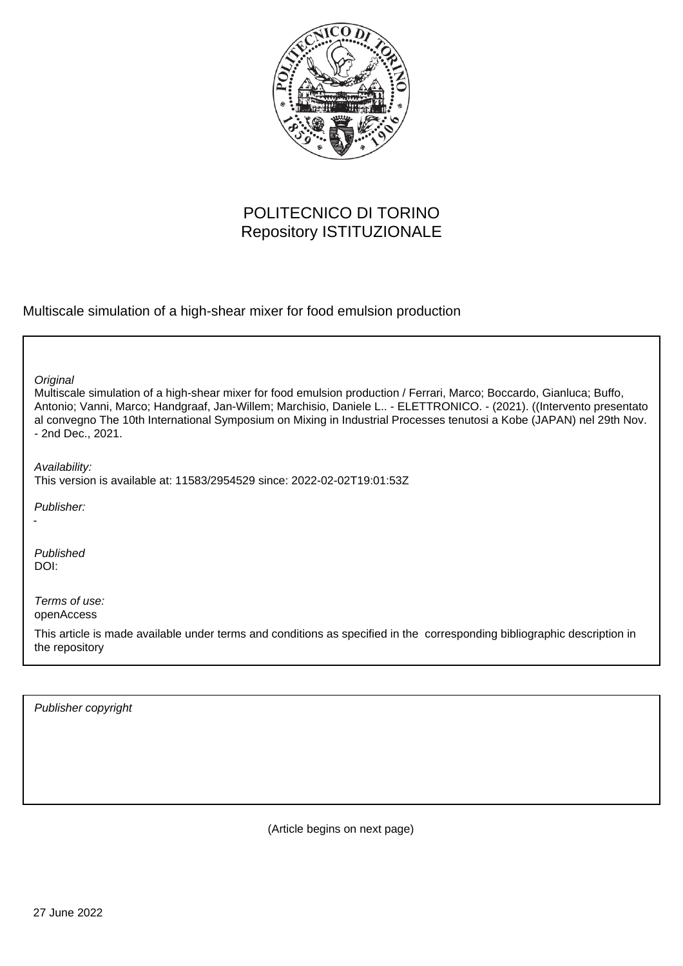

## POLITECNICO DI TORINO Repository ISTITUZIONALE

Multiscale simulation of a high-shear mixer for food emulsion production

| Original<br>Multiscale simulation of a high-shear mixer for food emulsion production / Ferrari, Marco; Boccardo, Gianluca; Buffo,<br>Antonio; Vanni, Marco; Handgraaf, Jan-Willem; Marchisio, Daniele L - ELETTRONICO. - (2021). ((Intervento presentato<br>al convegno The 10th International Symposium on Mixing in Industrial Processes tenutosi a Kobe (JAPAN) nel 29th Nov.<br>- 2nd Dec., 2021. |
|-------------------------------------------------------------------------------------------------------------------------------------------------------------------------------------------------------------------------------------------------------------------------------------------------------------------------------------------------------------------------------------------------------|
| Availability:<br>This version is available at: 11583/2954529 since: 2022-02-02T19:01:53Z                                                                                                                                                                                                                                                                                                              |
| Publisher:                                                                                                                                                                                                                                                                                                                                                                                            |
| Published<br>DOI:                                                                                                                                                                                                                                                                                                                                                                                     |
| Terms of use:<br>openAccess                                                                                                                                                                                                                                                                                                                                                                           |
| This article is made available under terms and conditions as specified in the corresponding bibliographic description in<br>the repository                                                                                                                                                                                                                                                            |

Publisher copyright

(Article begins on next page)